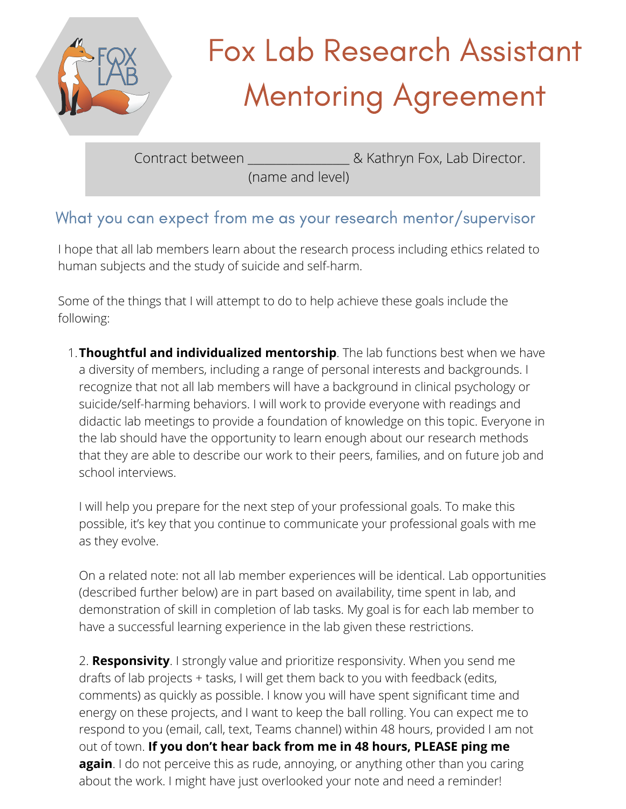

# Fox Lab Research Assistant Mentoring Agreement

Contract between **Example 2** Kathryn Fox, Lab Director.

(name and level)

# What you can expect from me as your research mentor/supervisor

I hope that all lab members learn about the research process including ethics related to human subjects and the study of suicide and self-harm.

Some of the things that I will attempt to do to help achieve these goals include the following:

**Thoughtful and individualized mentorship**. The lab functions best when we have 1. a diversity of members, including a range of personal interests and backgrounds. I recognize that not all lab members will have a background in clinical psychology or suicide/self-harming behaviors. I will work to provide everyone with readings and didactic lab meetings to provide a foundation of knowledge on this topic. Everyone in the lab should have the opportunity to learn enough about our research methods that they are able to describe our work to their peers, families, and on future job and school interviews.

I will help you prepare for the next step of your professional goals. To make this possible, it's key that you continue to communicate your professional goals with me as they evolve.

On a related note: not all lab member experiences will be identical. Lab opportunities (described further below) are in part based on availability, time spent in lab, and demonstration of skill in completion of lab tasks. My goal is for each lab member to have a successful learning experience in the lab given these restrictions.

drafts of lab projects + tasks, I will get them back to you with feedback (edits, comments) as quickly as possible. I know you will have spent significant time and energy on these projects, and I want to keep the ball rolling. You can expect me to respond to you (email, call, text, Teams channel) within 48 hours, provided I am not  $\bullet$  0ut of town. **If you don't hear back from me in 48 hours, PLEASE ping me again**. I do not perceive this as rude, annoying, or anything other than you caring 2. **Responsivity**. I strongly value and prioritize responsivity. When you send me about the work. I might have just overlooked your note and need a reminder!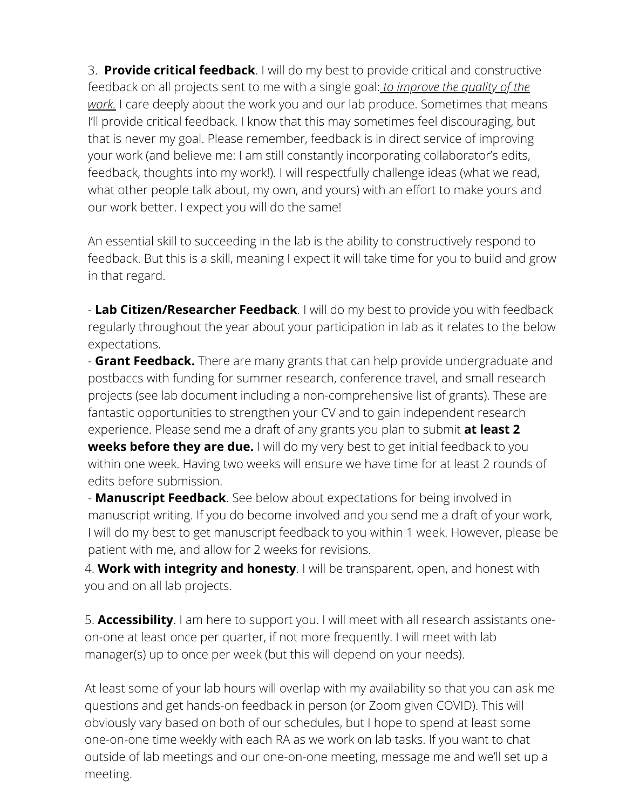3. **Provide critical feedback**. I will do my best to provide critical and constructive feedback on all projects sent to me with a single goal: *to improve the quality of the work.* I care deeply about the work you and our lab produce. Sometimes that means I'll provide critical feedback. I know that this may sometimes feel discouraging, but that is never my goal. Please remember, feedback is in direct service of improving your work (and believe me: I am still constantly incorporating collaborator's edits, feedback, thoughts into my work!). I will respectfully challenge ideas (what we read, what other people talk about, my own, and yours) with an effort to make yours and our work better. I expect you will do the same!

An essential skill to succeeding in the lab is the ability to constructively respond to feedback. But this is a skill, meaning Iexpect it will take time for you to build and grow in that regard.

- **Lab Citizen/Researcher Feedback**. I will do my best to provide you with feedback regularly throughout the year about your participation in lab as it relates to the below expectations.

- **Grant Feedback.** There are many grants that can help provide undergraduate and postbaccs with funding for summer research, conference travel, and small research projects (see lab document including a non-comprehensive list of grants). These are fantastic opportunities to strengthen your CV and to gain independent research experience. Please send me a draft of any grants you plan to submit **at least 2 weeks before they are due.** I will do my very best to get initial feedback to you within one week. Having two weeks will ensure we have time for at least 2 rounds of edits before submission.

- **Manuscript Feedback**. See below about expectations for being involved in manuscript writing. If you do become involved and you send me a draft of your work, I will do my best to get manuscript feedback to you within 1 week. However, please be patient with me, and allow for 2 weeks for revisions.

4. **Work with integrity and honesty**. I will be transparent, open, and honest with you and on all lab projects.

5. **Accessibility**. I am here to support you. I will meet with all research assistants oneon-one at least once per quarter, if not more frequently. I will meet with lab manager(s) up to once per week (but this will depend on your needs).

At least some of your lab hours will overlap with my availability so that you can ask me questions and get hands-on feedback in person (or Zoom given COVID). This will obviously vary based on both of our schedules, but I hope to spend at least some one-on-one time weekly with each RA as we work on lab tasks. If you want to chat outside of lab meetings and our one-on-one meeting, message me and we'll set up a meeting.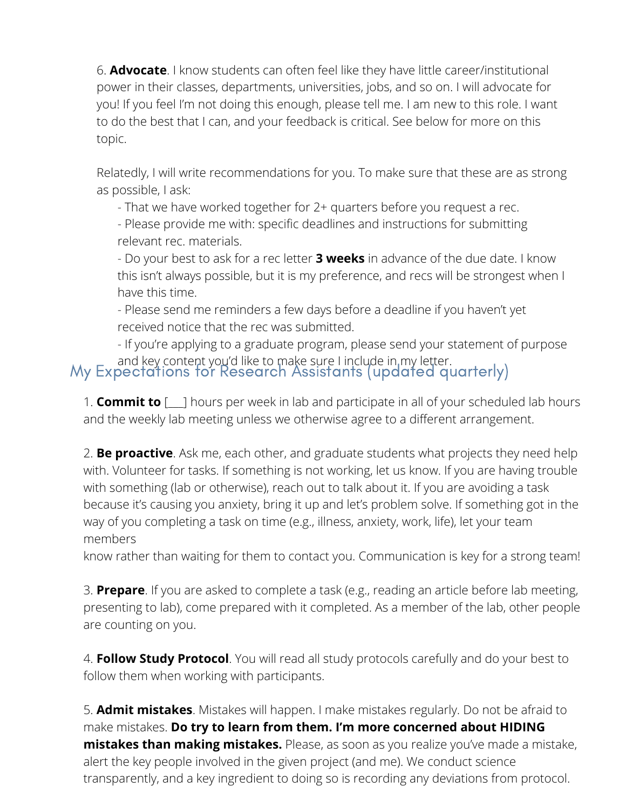6. **Advocate**. I know students can often feel like they have little career/institutional power in their classes, departments, universities, jobs, and so on. I will advocate for you! If you feel I'm not doing this enough, please tell me. I am new to this role. I want to do the best that I can, and your feedback is critical. See below for more on this topic.

Relatedly, I will write recommendations for you. To make sure that these are as strong as possible, I ask:

- That we have worked together for 2+ quarters before you request a rec.

- Please provide me with: specific deadlines and instructions for submitting relevant rec. materials.

- Do your best to ask for a rec letter **3 weeks** in advance of the due date. I know this isn't always possible, but it is my preference, and recs will be strongest when I have this time.

- Please send me reminders a few days before a deadline if you haven't yet received notice that the rec was submitted.

- If you're applying to a graduate program, please send your statement of purpose

# and key content you'd like to make sure I include in my letter.<br>My Expectations for Research Assistants (updated quarterly)

1. **Commit to** [\_\_\_] hours per week in lab and participate in all of your scheduled lab hours and the weekly lab meeting unless we otherwise agree to a different arrangement.

2. **Be proactive**. Ask me, each other, and graduate students what projects they need help with. Volunteer for tasks. If something is not working, let us know. If you are having trouble with something (lab or otherwise), reach out to talk about it. If you are avoiding a task because it's causing you anxiety, bring it up and let's problem solve. If something got in the way of you completing a task on time (e.g., illness, anxiety, work, life), let your team members

know rather than waiting for them to contact you. Communication is key for a strong team!

3. **Prepare**. If you are asked to complete a task (e.g., reading an article before lab meeting, presenting to lab), come prepared with it completed. As a member of the lab, other people are counting on you.

4. **Follow Study Protocol**. You will read all study protocols carefully and do your best to follow them when working with participants.

5. **Admit mistakes**. Mistakes will happen. I make mistakes regularly. Do not be afraid to make mistakes. **Do try to learn from them. I'm more concerned about HIDING mistakes than making mistakes.** Please, as soon as you realize you've made a mistake, alert the key people involved in the given project (and me). We conduct science transparently, and a key ingredient to doing so is recording any deviations from protocol.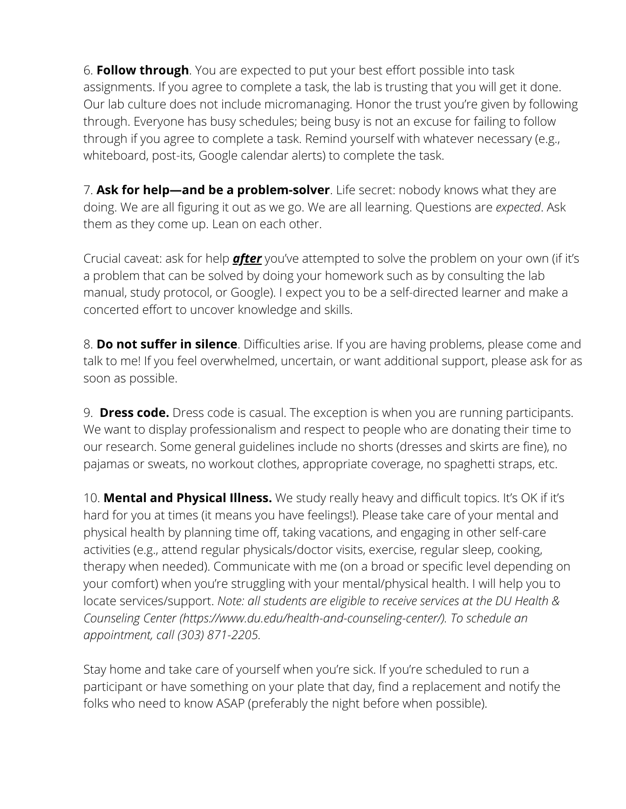6. **Follow through**. You are expected to put your best effort possible into task assignments. If you agree to complete a task, the lab is trusting that you will get it done. Our lab culture does not include micromanaging. Honor the trust you're given by following through. Everyone has busy schedules; being busy is not an excuse for failing to follow through if you agree to complete a task. Remind yourself with whatever necessary (e.g., whiteboard, post-its, Google calendar alerts) to complete the task.

7. **Ask for help—and be a problem-solver**. Life secret: nobody knows what they are doing. We are all figuring it out as we go. We are all learning. Questions are *expected*. Ask them as they come up. Lean on each other.

Crucial caveat: ask for help *after* you've attempted to solve the problem on your own (if it's a problem that can be solved by doing your homework such as by consulting the lab manual, study protocol, or Google). I expect you to be a self-directed learner and make a concerted effort to uncover knowledge and skills.

8. **Do not suffer in silence**. Difficulties arise. If you are having problems, please come and talk to me! If you feel overwhelmed, uncertain, or want additional support, please ask for as soon as possible.

9. **Dress code.** Dress code is casual. The exception is when you are running participants. We want to display professionalism and respect to people who are donating their time to our research. Some general guidelines include no shorts (dresses and skirts are fine), no pajamas or sweats, no workout clothes, appropriate coverage, no spaghetti straps, etc.

10. **Mental and Physical Illness.** We study really heavy and difficult topics. It's OK if it's hard for you at times (it means you have feelings!). Please take care of your mental and physical health by planning time off, taking vacations, and engaging in other self-care activities (e.g., attend regular physicals/doctor visits, exercise, regular sleep, cooking, therapy when needed). Communicate with me (on a broad or specific level depending on your comfort) when you're struggling with your mental/physical health. I will help you to locate services/support. *Note: all students are eligible to receive services at the DU Health & Counseling Center (https://www.du.edu/health-and-counseling-center/). To schedule an appointment, call (303) 871-2205.*

Stay home and take care of yourself when you're sick. If you're scheduled to run a participant or have something on your plate that day, find a replacement and notify the folks who need to know ASAP (preferably the night before when possible).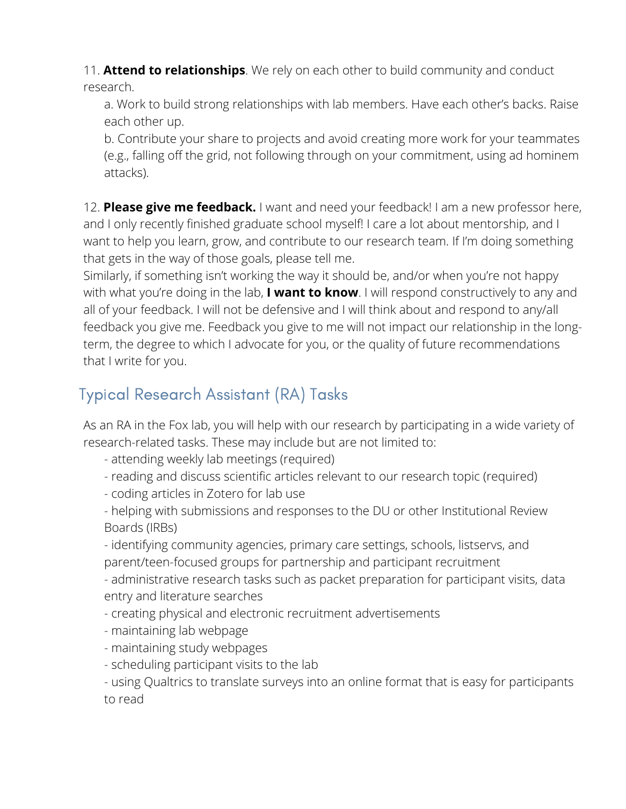11. **Attend to relationships**. We rely on each other to build community and conduct research.

a. Work to build strong relationships with lab members. Have each other's backs. Raise each other up.

b. Contribute your share to projects and avoid creating more work for your teammates (e.g., falling off the grid, not following through on your commitment, using ad hominem attacks).

12. **Please give me feedback.** I want and need your feedback! I am a new professor here, and I only recently finished graduate school myself! I care a lot about mentorship, and I want to help you learn, grow, and contribute to our research team. If I'm doing something that gets in the way of those goals, please tell me.

Similarly, if something isn't working the way it should be, and/or when you're not happy with what you're doing in the lab, **I want to know**. I will respond constructively to any and all of your feedback. I will not be defensive and I will think about and respond to any/all feedback you give me. Feedback you give to me will not impact our relationship in the longterm, the degree to which I advocate for you, or the quality of future recommendations that I write for you.

# Typical Research Assistant (RA) Tasks

As an RA in the Fox lab, you will help with our research by participating in a wide variety of research-related tasks. These may include but are not limited to:

- attending weekly lab meetings (required)
- reading and discuss scientific articles relevant to our research topic (required)
- coding articles in Zotero for lab use
- helping with submissions and responses to the DU or other Institutional Review Boards (IRBs)

- identifying community agencies, primary care settings, schools, listservs, and parent/teen-focused groups for partnership and participant recruitment

- administrative research tasks such as packet preparation for participant visits, data entry and literature searches

- creating physical and electronic recruitment advertisements
- maintaining lab webpage
- maintaining study webpages
- scheduling participant visits to the lab

- using Qualtrics to translate surveys into an online format that is easy for participants to read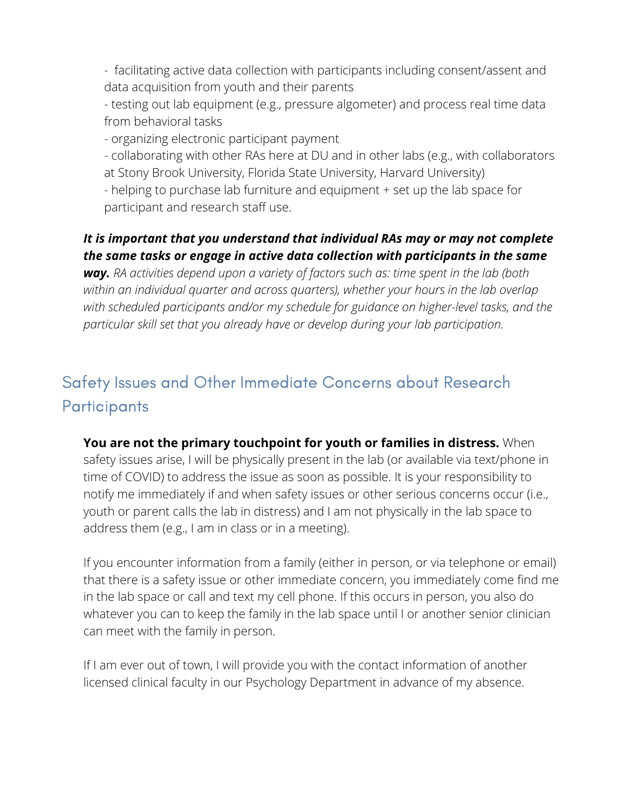- facilitating active data collection with participants including consent/assent and data acquisition from youth and their parents

- testing out lab equipment (e.g., pressure algometer) and process real time data from behavioral tasks

- organizing electronic participant payment

- collaborating with other RAs here at DU and in other labs (e.g., with collaborators at Stony Brook University, Florida State University, Harvard University)

- helping to purchase lab furniture and equipment + set up the lab space for participant and research staff use.

#### *It is important that you understand that individual RAs may or may not complete the same tasks or engage in active data collection with participants in the same*

*way. RA activities depend upon a variety of factors such as: time spent in the lab (both within an individual quarter and across quarters), whether your hours in the lab overlap with scheduled participants and/or my schedule for guidance on higher-level tasks, and the particular skill set that you already have or develop during your lab participation.*

# Safety Issues and Other Immediate Concerns about Research **Participants**

**You are not the primary touchpoint for youth or families in distress.** When safety issues arise, I will be physically present in the lab (or available via text/phone in time of COVID) to address the issue as soon as possible. It is your responsibility to notify me immediately if and when safety issues or other serious concerns occur (i.e., youth or parent calls the lab in distress) and I am not physically in the lab space to address them (e.g., I am in class or in a meeting).

If you encounter information from a family (either in person, or via telephone or email) that there is a safety issue or other immediate concern, you immediately come find me in the lab space or call and text my cell phone. If this occurs in person, you also do whatever you can to keep the family in the lab space until I or another senior clinician can meet with the family in person.

If I am ever out of town, I will provide you with the contact information of another licensed clinical faculty in our Psychology Department in advance of my absence.